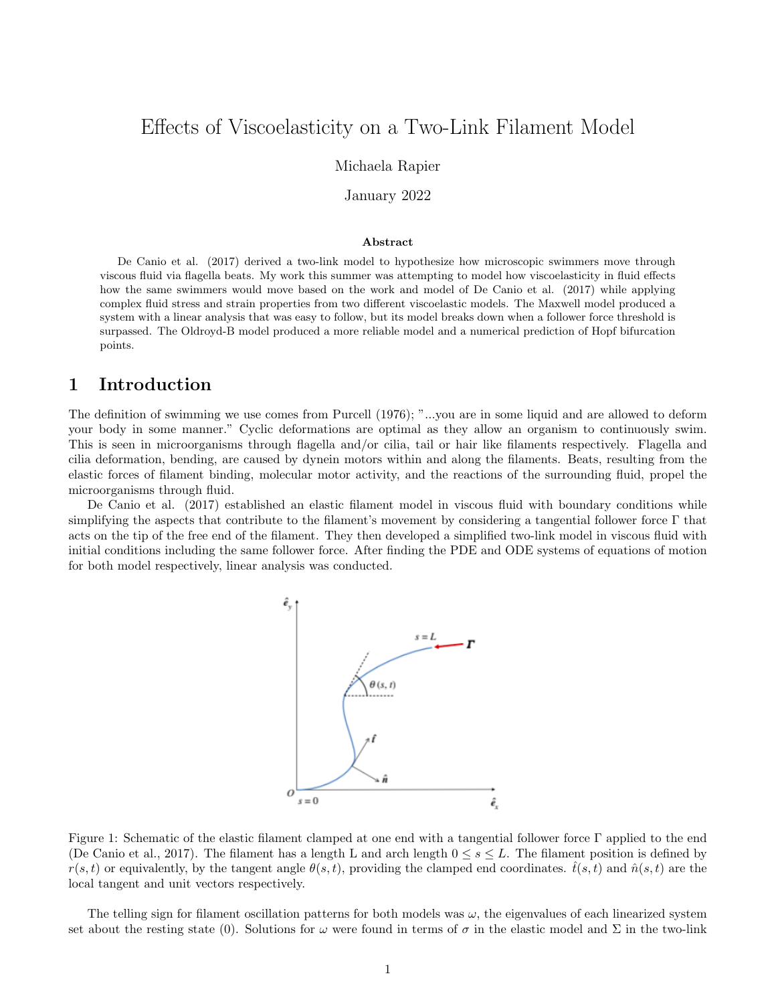# Effects of Viscoelasticity on a Two-Link Filament Model

### Michaela Rapier

January 2022

#### Abstract

De Canio et al. (2017) derived a two-link model to hypothesize how microscopic swimmers move through viscous fluid via flagella beats. My work this summer was attempting to model how viscoelasticity in fluid effects how the same swimmers would move based on the work and model of De Canio et al. (2017) while applying complex fluid stress and strain properties from two different viscoelastic models. The Maxwell model produced a system with a linear analysis that was easy to follow, but its model breaks down when a follower force threshold is surpassed. The Oldroyd-B model produced a more reliable model and a numerical prediction of Hopf bifurcation points.

# 1 Introduction

The definition of swimming we use comes from Purcell (1976); "...you are in some liquid and are allowed to deform your body in some manner." Cyclic deformations are optimal as they allow an organism to continuously swim. This is seen in microorganisms through flagella and/or cilia, tail or hair like filaments respectively. Flagella and cilia deformation, bending, are caused by dynein motors within and along the filaments. Beats, resulting from the elastic forces of filament binding, molecular motor activity, and the reactions of the surrounding fluid, propel the microorganisms through fluid.

De Canio et al. (2017) established an elastic filament model in viscous fluid with boundary conditions while simplifying the aspects that contribute to the filament's movement by considering a tangential follower force Γ that acts on the tip of the free end of the filament. They then developed a simplified two-link model in viscous fluid with initial conditions including the same follower force. After finding the PDE and ODE systems of equations of motion for both model respectively, linear analysis was conducted.



Figure 1: Schematic of the elastic filament clamped at one end with a tangential follower force Γ applied to the end (De Canio et al., 2017). The filament has a length L and arch length  $0 \leq s \leq L$ . The filament position is defined by  $r(s,t)$  or equivalently, by the tangent angle  $\theta(s,t)$ , providing the clamped end coordinates.  $t(s,t)$  and  $\hat{n}(s,t)$  are the local tangent and unit vectors respectively.

The telling sign for filament oscillation patterns for both models was  $\omega$ , the eigenvalues of each linearized system set about the resting state (0). Solutions for  $\omega$  were found in terms of  $\sigma$  in the elastic model and  $\Sigma$  in the two-link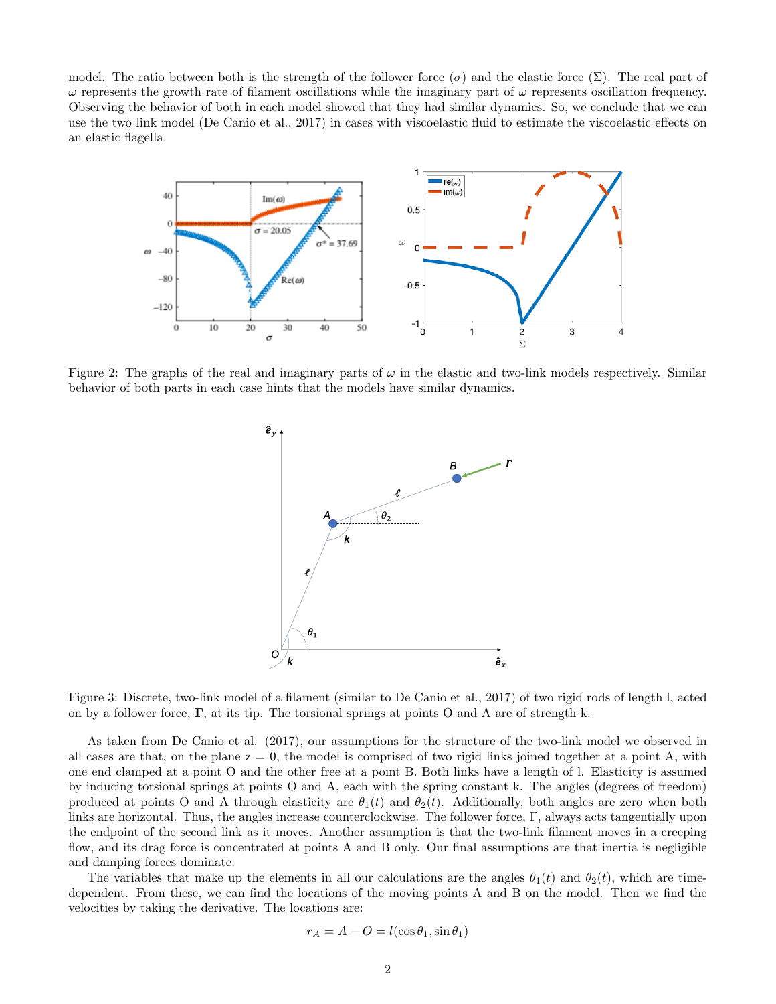model. The ratio between both is the strength of the follower force  $(\sigma)$  and the elastic force  $(\Sigma)$ . The real part of  $ω$  represents the growth rate of filament oscillations while the imaginary part of  $ω$  represents oscillation frequency. Observing the behavior of both in each model showed that they had similar dynamics. So, we conclude that we can use the two link model (De Canio et al., 2017) in cases with viscoelastic fluid to estimate the viscoelastic effects on an elastic flagella.



Figure 2: The graphs of the real and imaginary parts of  $\omega$  in the elastic and two-link models respectively. Similar behavior of both parts in each case hints that the models have similar dynamics.



Figure 3: Discrete, two-link model of a filament (similar to De Canio et al., 2017) of two rigid rods of length l, acted on by a follower force,  $\Gamma$ , at its tip. The torsional springs at points O and A are of strength k.

As taken from De Canio et al. (2017), our assumptions for the structure of the two-link model we observed in all cases are that, on the plane  $z = 0$ , the model is comprised of two rigid links joined together at a point A, with one end clamped at a point O and the other free at a point B. Both links have a length of l. Elasticity is assumed by inducing torsional springs at points O and A, each with the spring constant k. The angles (degrees of freedom) produced at points O and A through elasticity are  $\theta_1(t)$  and  $\theta_2(t)$ . Additionally, both angles are zero when both links are horizontal. Thus, the angles increase counterclockwise. The follower force, Γ, always acts tangentially upon the endpoint of the second link as it moves. Another assumption is that the two-link filament moves in a creeping flow, and its drag force is concentrated at points A and B only. Our final assumptions are that inertia is negligible and damping forces dominate.

The variables that make up the elements in all our calculations are the angles  $\theta_1(t)$  and  $\theta_2(t)$ , which are timedependent. From these, we can find the locations of the moving points A and B on the model. Then we find the velocities by taking the derivative. The locations are:

$$
r_A = A - O = l(\cos \theta_1, \sin \theta_1)
$$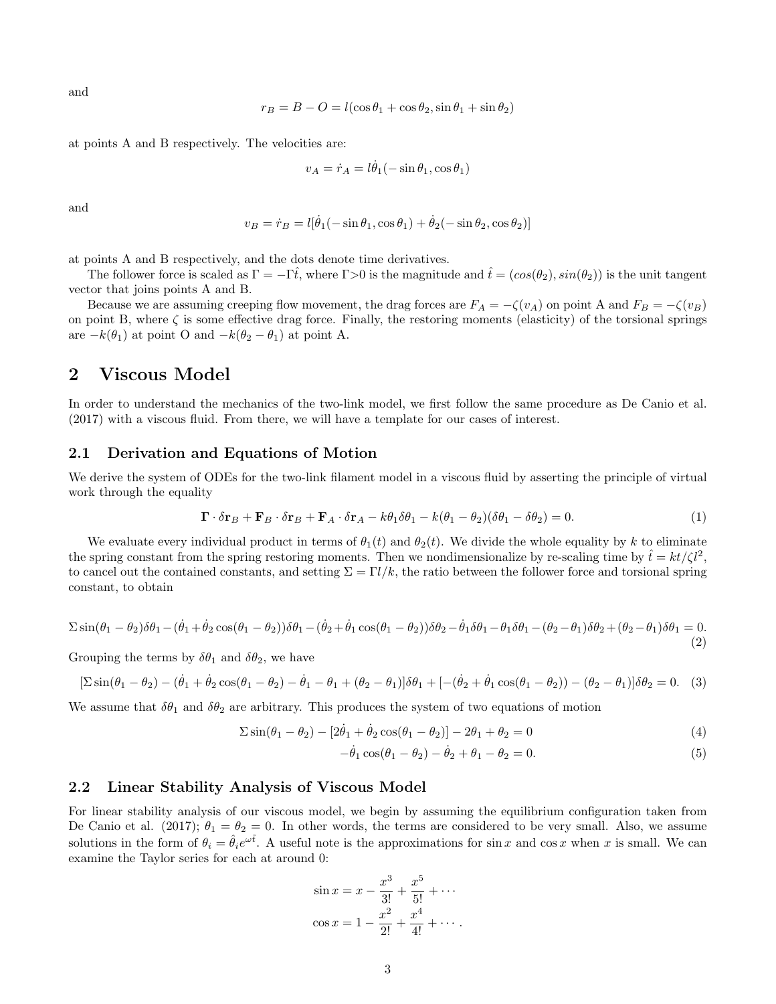and

$$
r_B = B - O = l(\cos \theta_1 + \cos \theta_2, \sin \theta_1 + \sin \theta_2)
$$

at points A and B respectively. The velocities are:

$$
v_A = \dot{r}_A = l\dot{\theta}_1(-\sin\theta_1, \cos\theta_1)
$$

and

$$
v_B = \dot{r}_B = l[\dot{\theta}_1(-\sin\theta_1, \cos\theta_1) + \dot{\theta}_2(-\sin\theta_2, \cos\theta_2)]
$$

at points A and B respectively, and the dots denote time derivatives.

The follower force is scaled as  $\Gamma = -\Gamma \hat{t}$ , where  $\Gamma > 0$  is the magnitude and  $\hat{t} = (cos(\theta_2), sin(\theta_2))$  is the unit tangent vector that joins points A and B.

Because we are assuming creeping flow movement, the drag forces are  $F_A = -\zeta(v_A)$  on point A and  $F_B = -\zeta(v_B)$ on point B, where  $\zeta$  is some effective drag force. Finally, the restoring moments (elasticity) of the torsional springs are  $-k(\theta_1)$  at point O and  $-k(\theta_2 - \theta_1)$  at point A.

# 2 Viscous Model

In order to understand the mechanics of the two-link model, we first follow the same procedure as De Canio et al. (2017) with a viscous fluid. From there, we will have a template for our cases of interest.

### 2.1 Derivation and Equations of Motion

We derive the system of ODEs for the two-link filament model in a viscous fluid by asserting the principle of virtual work through the equality

$$
\mathbf{\Gamma} \cdot \delta \mathbf{r}_B + \mathbf{F}_B \cdot \delta \mathbf{r}_B + \mathbf{F}_A \cdot \delta \mathbf{r}_A - k\theta_1 \delta \theta_1 - k(\theta_1 - \theta_2)(\delta \theta_1 - \delta \theta_2) = 0. \tag{1}
$$

We evaluate every individual product in terms of  $\theta_1(t)$  and  $\theta_2(t)$ . We divide the whole equality by k to eliminate the spring constant from the spring restoring moments. Then we nondimensionalize by re-scaling time by  $\hat{t} = kt/\zeta l^2$ , to cancel out the contained constants, and setting  $\Sigma = \Gamma l / k$ , the ratio between the follower force and torsional spring constant, to obtain

$$
\Sigma \sin(\theta_1 - \theta_2)\delta\theta_1 - (\dot{\theta}_1 + \dot{\theta}_2\cos(\theta_1 - \theta_2))\delta\theta_1 - (\dot{\theta}_2 + \dot{\theta}_1\cos(\theta_1 - \theta_2))\delta\theta_2 - \dot{\theta}_1\delta\theta_1 - \theta_1\delta\theta_1 - (\theta_2 - \theta_1)\delta\theta_2 + (\theta_2 - \theta_1)\delta\theta_1 = 0. \tag{2}
$$

Grouping the terms by  $\delta\theta_1$  and  $\delta\theta_2$ , we have

$$
\left[\sum \sin(\theta_1 - \theta_2) - (\dot{\theta}_1 + \dot{\theta}_2 \cos(\theta_1 - \theta_2) - \dot{\theta}_1 - \theta_1 + (\theta_2 - \theta_1)\right]\delta\theta_1 + \left[-(\dot{\theta}_2 + \dot{\theta}_1 \cos(\theta_1 - \theta_2)) - (\theta_2 - \theta_1)\right]\delta\theta_2 = 0. \tag{3}
$$

We assume that  $\delta\theta_1$  and  $\delta\theta_2$  are arbitrary. This produces the system of two equations of motion

$$
\sum \sin(\theta_1 - \theta_2) - [2\dot{\theta}_1 + \dot{\theta}_2 \cos(\theta_1 - \theta_2)] - 2\theta_1 + \theta_2 = 0
$$
\n(4)

$$
-\dot{\theta}_1 \cos(\theta_1 - \theta_2) - \dot{\theta}_2 + \theta_1 - \theta_2 = 0.
$$
 (5)

### 2.2 Linear Stability Analysis of Viscous Model

For linear stability analysis of our viscous model, we begin by assuming the equilibrium configuration taken from De Canio et al. (2017);  $\theta_1 = \theta_2 = 0$ . In other words, the terms are considered to be very small. Also, we assume solutions in the form of  $\theta_i = \hat{\theta}_i e^{\omega \tilde{t}}$ . A useful note is the approximations for sin x and cos x when x is small. We can examine the Taylor series for each at around 0:

$$
\sin x = x - \frac{x^3}{3!} + \frac{x^5}{5!} + \cdots
$$

$$
\cos x = 1 - \frac{x^2}{2!} + \frac{x^4}{4!} + \cdots
$$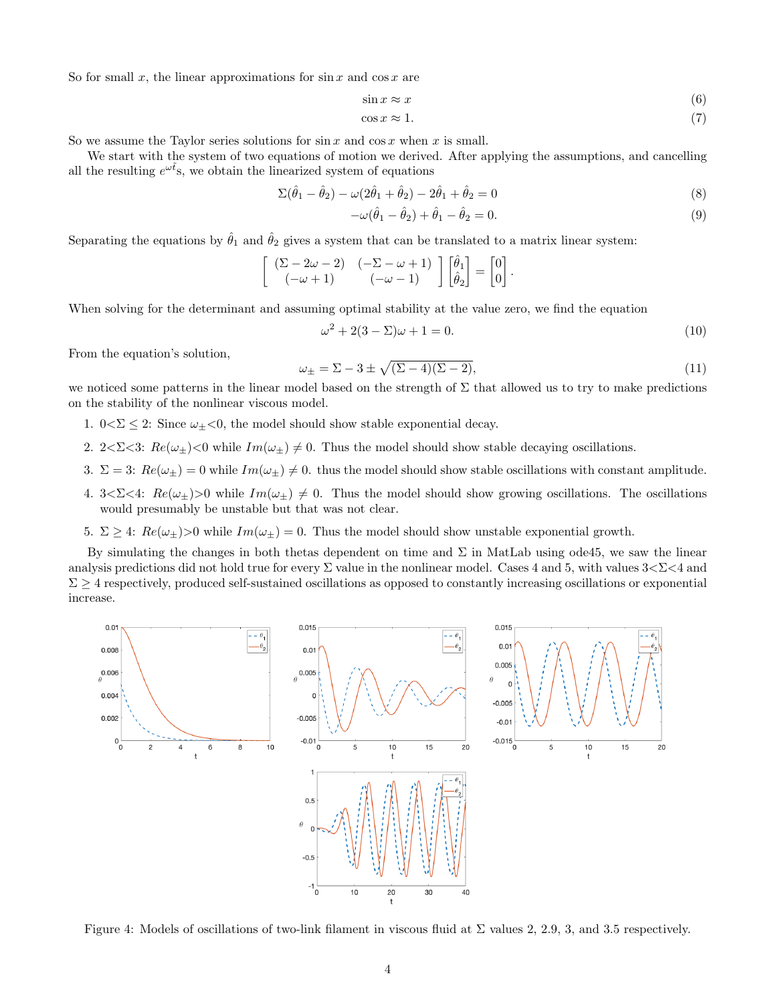So for small x, the linear approximations for  $\sin x$  and  $\cos x$  are

$$
\sin x \approx x \tag{6}
$$

 $\cos x \approx 1.$  (7)

So we assume the Taylor series solutions for  $\sin x$  and  $\cos x$  when x is small.

We start with the system of two equations of motion we derived. After applying the assumptions, and cancelling all the resulting  $e^{\omega t}$ s, we obtain the linearized system of equations

$$
\Sigma(\hat{\theta}_1 - \hat{\theta}_2) - \omega(2\hat{\theta}_1 + \hat{\theta}_2) - 2\hat{\theta}_1 + \hat{\theta}_2 = 0
$$
\n(8)

$$
-\omega(\hat{\theta}_1 - \hat{\theta}_2) + \hat{\theta}_1 - \hat{\theta}_2 = 0.
$$
\n(9)

Separating the equations by  $\hat{\theta}_1$  and  $\hat{\theta}_2$  gives a system that can be translated to a matrix linear system:

$$
\begin{bmatrix}\n(\Sigma - 2\omega - 2) & (-\Sigma - \omega + 1) \\
(-\omega + 1) & (-\omega - 1)\n\end{bmatrix}\n\begin{bmatrix}\n\hat{\theta}_1 \\
\hat{\theta}_2\n\end{bmatrix} = \n\begin{bmatrix}\n0 \\
0\n\end{bmatrix}.
$$

When solving for the determinant and assuming optimal stability at the value zero, we find the equation

$$
\omega^2 + 2(3 - \Sigma)\omega + 1 = 0. \tag{10}
$$

From the equation's solution,

$$
\omega_{\pm} = \Sigma - 3 \pm \sqrt{(\Sigma - 4)(\Sigma - 2)},\tag{11}
$$

we noticed some patterns in the linear model based on the strength of  $\Sigma$  that allowed us to try to make predictions on the stability of the nonlinear viscous model.

- 1.  $0 \le \le 2$ : Since  $\omega_+ \le 0$ , the model should show stable exponential decay.
- 2. 2< $\Sigma$ <3:  $Re(\omega_{\pm})$ <0 while  $Im(\omega_{\pm}) \neq 0$ . Thus the model should show stable decaying oscillations.
- 3.  $\Sigma = 3$ :  $Re(\omega_{\pm}) = 0$  while  $Im(\omega_{\pm}) \neq 0$ . thus the model should show stable oscillations with constant amplitude.
- 4.  $3 < \Sigma < 4$ :  $Re(\omega_{\pm}) > 0$  while  $Im(\omega_{\pm}) \neq 0$ . Thus the model should show growing oscillations. The oscillations would presumably be unstable but that was not clear.
- 5. Σ ≥ 4:  $Re(\omega_{\pm})>0$  while  $Im(\omega_{\pm})=0$ . Thus the model should show unstable exponential growth.

By simulating the changes in both thetas dependent on time and  $\Sigma$  in MatLab using ode45, we saw the linear analysis predictions did not hold true for every  $\Sigma$  value in the nonlinear model. Cases 4 and 5, with values  $3 < \Sigma < 4$  and  $\Sigma \geq 4$  respectively, produced self-sustained oscillations as opposed to constantly increasing oscillations or exponential increase.



Figure 4: Models of oscillations of two-link filament in viscous fluid at  $\Sigma$  values 2, 2.9, 3, and 3.5 respectively.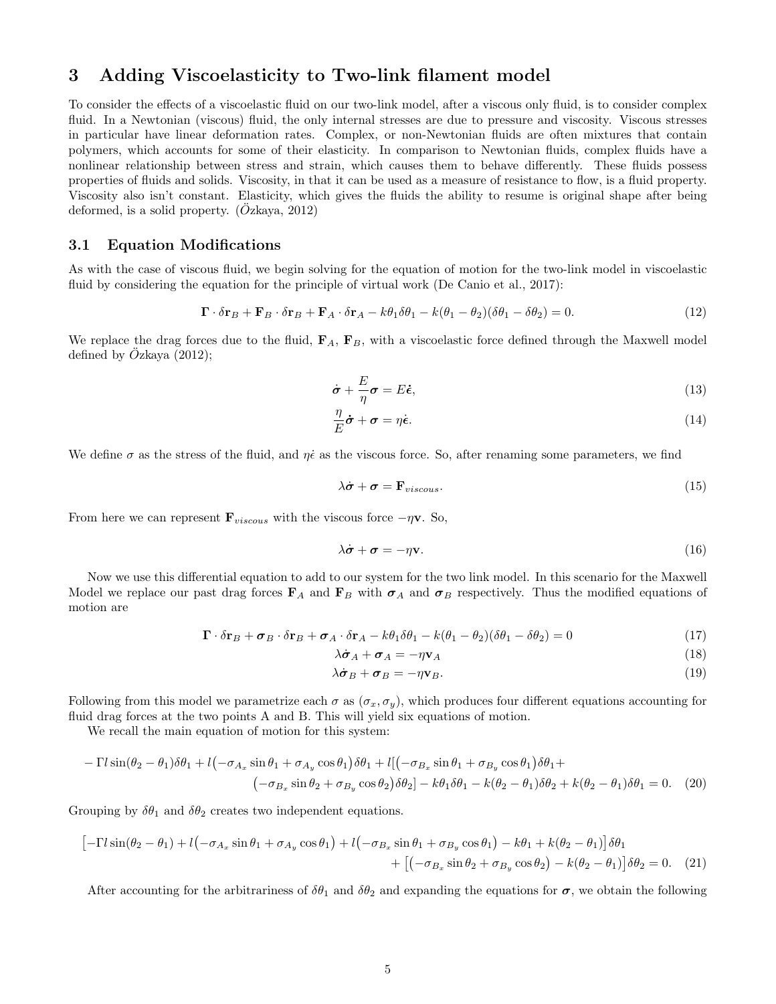# 3 Adding Viscoelasticity to Two-link filament model

To consider the effects of a viscoelastic fluid on our two-link model, after a viscous only fluid, is to consider complex fluid. In a Newtonian (viscous) fluid, the only internal stresses are due to pressure and viscosity. Viscous stresses in particular have linear deformation rates. Complex, or non-Newtonian fluids are often mixtures that contain polymers, which accounts for some of their elasticity. In comparison to Newtonian fluids, complex fluids have a nonlinear relationship between stress and strain, which causes them to behave differently. These fluids possess properties of fluids and solids. Viscosity, in that it can be used as a measure of resistance to flow, is a fluid property. Viscosity also isn't constant. Elasticity, which gives the fluids the ability to resume is original shape after being deformed, is a solid property.  $(Ozkaya, 2012)$ 

### 3.1 Equation Modifications

As with the case of viscous fluid, we begin solving for the equation of motion for the two-link model in viscoelastic fluid by considering the equation for the principle of virtual work (De Canio et al., 2017):

$$
\mathbf{\Gamma} \cdot \delta \mathbf{r}_B + \mathbf{F}_B \cdot \delta \mathbf{r}_B + \mathbf{F}_A \cdot \delta \mathbf{r}_A - k\theta_1 \delta \theta_1 - k(\theta_1 - \theta_2)(\delta \theta_1 - \delta \theta_2) = 0. \tag{12}
$$

We replace the drag forces due to the fluid,  $\mathbf{F}_A$ ,  $\mathbf{F}_B$ , with a viscoelastic force defined through the Maxwell model defined by  $Oz$ kaya  $(2012)$ ;

$$
\dot{\boldsymbol{\sigma}} + \frac{E}{\eta} \boldsymbol{\sigma} = E \dot{\boldsymbol{\epsilon}},\tag{13}
$$

$$
\frac{\eta}{E}\dot{\boldsymbol{\sigma}} + \boldsymbol{\sigma} = \eta \dot{\boldsymbol{\epsilon}}.\tag{14}
$$

We define  $\sigma$  as the stress of the fluid, and  $\eta\dot{\epsilon}$  as the viscous force. So, after renaming some parameters, we find

$$
\lambda \dot{\boldsymbol{\sigma}} + \boldsymbol{\sigma} = \mathbf{F}_{viscous}.
$$
\n<sup>(15)</sup>

From here we can represent  $\mathbf{F}_{viscous}$  with the viscous force  $-\eta \mathbf{v}$ . So,

$$
\lambda \dot{\boldsymbol{\sigma}} + \boldsymbol{\sigma} = -\eta \mathbf{v}.\tag{16}
$$

Now we use this differential equation to add to our system for the two link model. In this scenario for the Maxwell Model we replace our past drag forces  $\mathbf{F}_A$  and  $\mathbf{F}_B$  with  $\sigma_A$  and  $\sigma_B$  respectively. Thus the modified equations of motion are

$$
\mathbf{\Gamma} \cdot \delta \mathbf{r}_B + \boldsymbol{\sigma}_B \cdot \delta \mathbf{r}_B + \boldsymbol{\sigma}_A \cdot \delta \mathbf{r}_A - k\theta_1 \delta \theta_1 - k(\theta_1 - \theta_2)(\delta \theta_1 - \delta \theta_2) = 0 \tag{17}
$$

$$
\lambda \dot{\boldsymbol{\sigma}}_A + \boldsymbol{\sigma}_A = -\eta \mathbf{v}_A \tag{18}
$$

$$
\lambda \dot{\boldsymbol{\sigma}}_B + \boldsymbol{\sigma}_B = -\eta \mathbf{v}_B. \tag{19}
$$

Following from this model we parametrize each  $\sigma$  as  $(\sigma_x, \sigma_y)$ , which produces four different equations accounting for fluid drag forces at the two points A and B. This will yield six equations of motion.

We recall the main equation of motion for this system:

$$
- \Gamma l \sin(\theta_2 - \theta_1) \delta \theta_1 + l \left( -\sigma_{A_x} \sin \theta_1 + \sigma_{A_y} \cos \theta_1 \right) \delta \theta_1 + l \left[ \left( -\sigma_{B_x} \sin \theta_1 + \sigma_{B_y} \cos \theta_1 \right) \delta \theta_1 + \left( -\sigma_{B_x} \sin \theta_2 + \sigma_{B_y} \cos \theta_2 \right) \delta \theta_2 \right] - k \theta_1 \delta \theta_1 - k(\theta_2 - \theta_1) \delta \theta_2 + k(\theta_2 - \theta_1) \delta \theta_1 = 0. \tag{20}
$$

Grouping by  $\delta\theta_1$  and  $\delta\theta_2$  creates two independent equations.

$$
\begin{aligned}\n\left[-\Gamma l \sin(\theta_2 - \theta_1) + l \left(-\sigma_{A_x} \sin \theta_1 + \sigma_{A_y} \cos \theta_1\right) + l \left(-\sigma_{B_x} \sin \theta_1 + \sigma_{B_y} \cos \theta_1\right) - k \theta_1 + k(\theta_2 - \theta_1)\right] \delta \theta_1 \\
&+ \left[ \left(-\sigma_{B_x} \sin \theta_2 + \sigma_{B_y} \cos \theta_2\right) - k(\theta_2 - \theta_1)\right] \delta \theta_2 = 0.\n\end{aligned} \tag{21}
$$

After accounting for the arbitrariness of  $\delta\theta_1$  and  $\delta\theta_2$  and expanding the equations for  $\sigma$ , we obtain the following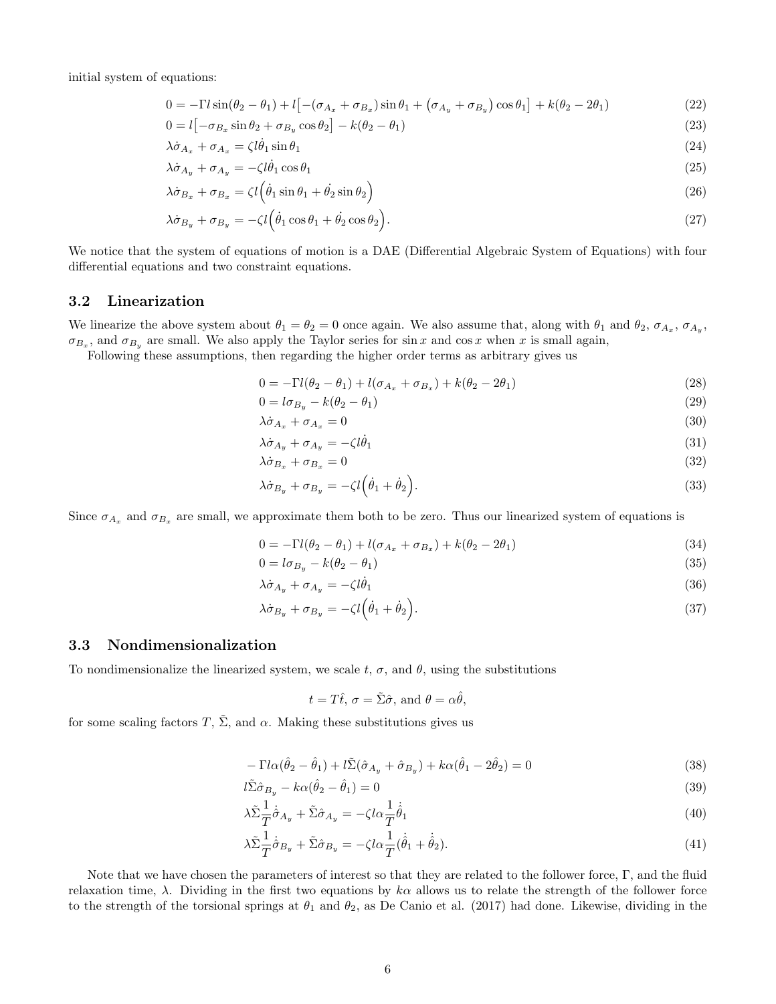initial system of equations:

$$
0 = -\Gamma l \sin(\theta_2 - \theta_1) + l [-(\sigma_{A_x} + \sigma_{B_x}) \sin \theta_1 + (\sigma_{A_y} + \sigma_{B_y}) \cos \theta_1] + k(\theta_2 - 2\theta_1)
$$
\n(22)

$$
0 = l \left[ -\sigma_{B_x} \sin \theta_2 + \sigma_{B_y} \cos \theta_2 \right] - k(\theta_2 - \theta_1) \tag{23}
$$

$$
\lambda \dot{\sigma}_{A_x} + \sigma_{A_x} = \zeta l \dot{\theta}_1 \sin \theta_1 \tag{24}
$$

$$
\lambda \dot{\sigma}_{A_y} + \sigma_{A_y} = -\zeta l \dot{\theta}_1 \cos \theta_1 \tag{25}
$$

$$
\lambda \dot{\sigma}_{B_x} + \sigma_{B_x} = \zeta l \left( \dot{\theta}_1 \sin \theta_1 + \dot{\theta}_2 \sin \theta_2 \right)
$$
\n(26)

$$
\lambda \dot{\sigma}_{B_y} + \sigma_{B_y} = -\zeta l \left( \dot{\theta}_1 \cos \theta_1 + \dot{\theta}_2 \cos \theta_2 \right).
$$
\n(27)

We notice that the system of equations of motion is a DAE (Differential Algebraic System of Equations) with four differential equations and two constraint equations.

### 3.2 Linearization

We linearize the above system about  $\theta_1 = \theta_2 = 0$  once again. We also assume that, along with  $\theta_1$  and  $\theta_2$ ,  $\sigma_{A_x}$ ,  $\sigma_{A_y}$ ,  $\sigma_{B_x}$ , and  $\sigma_{B_y}$  are small. We also apply the Taylor series for sin x and cos x when x is small again,

Following these assumptions, then regarding the higher order terms as arbitrary gives us

$$
0 = -\Gamma l(\theta_2 - \theta_1) + l(\sigma_{A_x} + \sigma_{B_x}) + k(\theta_2 - 2\theta_1)
$$
\n(28)

$$
0 = l\sigma_{B_y} - k(\theta_2 - \theta_1) \tag{29}
$$

$$
\lambda \dot{\sigma}_{A_x} + \sigma_{A_x} = 0 \tag{30}
$$

$$
\lambda \dot{\sigma}_{A_y} + \sigma_{A_y} = -\zeta l \dot{\theta}_1 \tag{31}
$$

$$
\lambda \dot{\sigma}_{B_x} + \sigma_{B_x} = 0 \tag{32}
$$

$$
\lambda \dot{\sigma}_{B_y} + \sigma_{B_y} = -\zeta l \left( \dot{\theta}_1 + \dot{\theta}_2 \right). \tag{33}
$$

Since  $\sigma_{A_x}$  and  $\sigma_{B_x}$  are small, we approximate them both to be zero. Thus our linearized system of equations is

$$
0 = -\Gamma l(\theta_2 - \theta_1) + l(\sigma_{A_x} + \sigma_{B_x}) + k(\theta_2 - 2\theta_1)
$$
\n(34)

$$
0 = l\sigma_{B_y} - k(\theta_2 - \theta_1) \tag{35}
$$

$$
\lambda \dot{\sigma}_{A_y} + \sigma_{A_y} = -\zeta l \dot{\theta}_1 \tag{36}
$$

$$
\lambda \dot{\sigma}_{B_y} + \sigma_{B_y} = -\zeta l \left( \dot{\theta}_1 + \dot{\theta}_2 \right). \tag{37}
$$

### 3.3 Nondimensionalization

To nondimensionalize the linearized system, we scale t,  $\sigma$ , and  $\theta$ , using the substitutions

$$
t = T\hat{t}, \sigma = \tilde{\Sigma}\hat{\sigma}, \text{ and } \theta = \alpha\hat{\theta},
$$

for some scaling factors T,  $\tilde{\Sigma}$ , and  $\alpha$ . Making these substitutions gives us

$$
-\Gamma l \alpha (\hat{\theta}_2 - \hat{\theta}_1) + l \tilde{\Sigma} (\hat{\sigma}_{A_y} + \hat{\sigma}_{B_y}) + k \alpha (\hat{\theta}_1 - 2\hat{\theta}_2) = 0 \tag{38}
$$

$$
l\tilde{\Sigma}\hat{\sigma}_{B_y} - k\alpha(\hat{\theta}_2 - \hat{\theta}_1) = 0
$$
\n(39)

$$
\lambda \tilde{\Sigma} \frac{1}{T} \dot{\hat{\sigma}}_{A_y} + \tilde{\Sigma} \hat{\sigma}_{A_y} = -\zeta l \alpha \frac{1}{T} \dot{\hat{\theta}}_1 \tag{40}
$$

$$
\lambda \tilde{\Sigma} \frac{1}{T} \dot{\hat{\sigma}}_{B_y} + \tilde{\Sigma} \hat{\sigma}_{B_y} = -\zeta l \alpha \frac{1}{T} (\dot{\hat{\theta}}_1 + \dot{\hat{\theta}}_2). \tag{41}
$$

Note that we have chosen the parameters of interest so that they are related to the follower force, Γ, and the fluid relaxation time,  $\lambda$ . Dividing in the first two equations by  $k\alpha$  allows us to relate the strength of the follower force to the strength of the torsional springs at  $\theta_1$  and  $\theta_2$ , as De Canio et al. (2017) had done. Likewise, dividing in the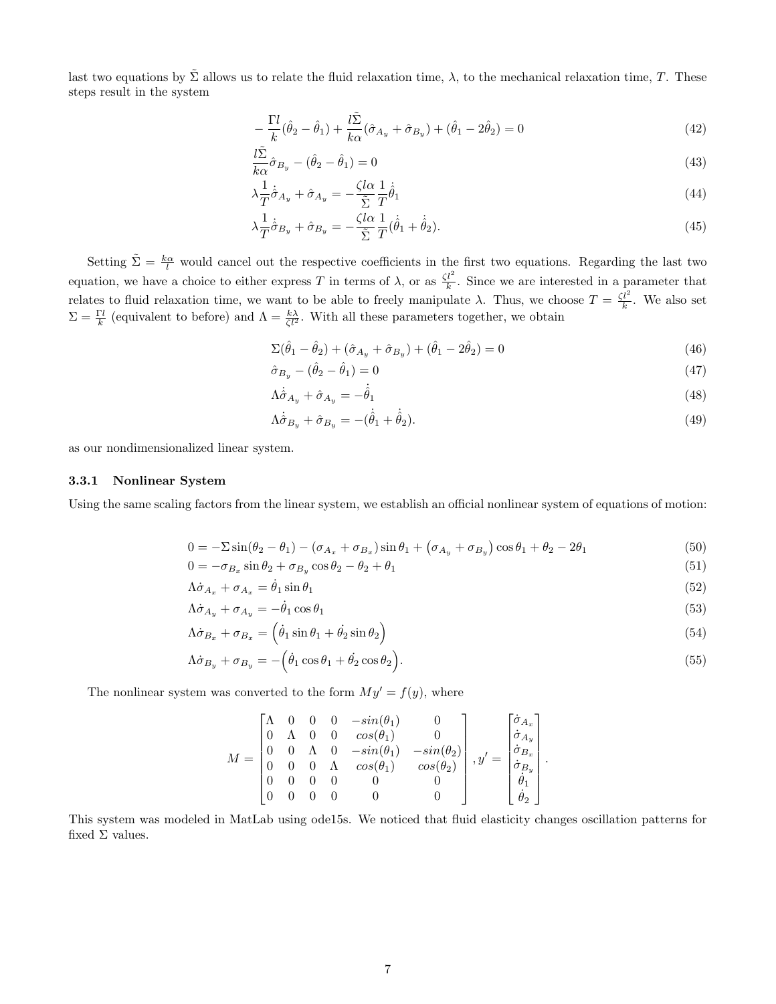last two equations by  $\tilde{\Sigma}$  allows us to relate the fluid relaxation time,  $\lambda$ , to the mechanical relaxation time, T. These steps result in the system

$$
-\frac{\Gamma l}{k}(\hat{\theta}_2 - \hat{\theta}_1) + \frac{l\tilde{\Sigma}}{k\alpha}(\hat{\sigma}_{A_y} + \hat{\sigma}_{B_y}) + (\hat{\theta}_1 - 2\hat{\theta}_2) = 0
$$
\n(42)

$$
\frac{l\tilde{\Sigma}}{k\alpha}\hat{\sigma}_{B_y} - (\hat{\theta}_2 - \hat{\theta}_1) = 0\tag{43}
$$

$$
\lambda \frac{1}{T} \dot{\hat{\sigma}}_{A_y} + \hat{\sigma}_{A_y} = -\frac{\zeta l \alpha}{\tilde{\Sigma}} \frac{1}{T} \dot{\hat{\theta}}_1 \tag{44}
$$

$$
\lambda \frac{1}{T} \dot{\hat{\sigma}}_{B_y} + \hat{\sigma}_{B_y} = -\frac{\zeta l \alpha}{\tilde{\Sigma}} \frac{1}{T} (\dot{\hat{\theta}}_1 + \dot{\hat{\theta}}_2). \tag{45}
$$

Setting  $\tilde{\Sigma} = \frac{k\alpha}{l}$  would cancel out the respective coefficients in the first two equations. Regarding the last two equation, we have a choice to either express T in terms of  $\lambda$ , or as  $\frac{\zeta l^2}{k}$ . Since we are interested in a parameter that relates to fluid relaxation time, we want to be able to freely manipulate  $\lambda$ . Thus, we choose  $T = \frac{\zeta l^2}{k}$ . We also set  $\Sigma = \frac{\Gamma l}{k}$  (equivalent to before) and  $\Lambda = \frac{k\lambda}{\zeta l^2}$ . With all these parameters together, we obtain

$$
\Sigma(\hat{\theta}_1 - \hat{\theta}_2) + (\hat{\sigma}_{A_y} + \hat{\sigma}_{B_y}) + (\hat{\theta}_1 - 2\hat{\theta}_2) = 0
$$
\n(46)

$$
\hat{\sigma}_{B_y} - (\hat{\theta}_2 - \hat{\theta}_1) = 0 \tag{47}
$$

$$
\Lambda \dot{\hat{\sigma}}_{A_y} + \hat{\sigma}_{A_y} = -\dot{\hat{\theta}}_1 \tag{48}
$$

$$
\Lambda \dot{\hat{\sigma}}_{B_y} + \hat{\sigma}_{B_y} = -(\dot{\hat{\theta}}_1 + \dot{\hat{\theta}}_2). \tag{49}
$$

as our nondimensionalized linear system.

#### 3.3.1 Nonlinear System

Using the same scaling factors from the linear system, we establish an official nonlinear system of equations of motion:

$$
0 = -\Sigma \sin(\theta_2 - \theta_1) - (\sigma_{A_x} + \sigma_{B_x}) \sin \theta_1 + (\sigma_{A_y} + \sigma_{B_y}) \cos \theta_1 + \theta_2 - 2\theta_1 \tag{50}
$$

$$
0 = -\sigma_{B_x} \sin \theta_2 + \sigma_{B_y} \cos \theta_2 - \theta_2 + \theta_1 \tag{51}
$$

$$
\Lambda \dot{\sigma}_{A_x} + \sigma_{A_x} = \dot{\theta}_1 \sin \theta_1 \tag{52}
$$

$$
\Lambda \dot{\sigma}_{A_y} + \sigma_{A_y} = -\dot{\theta}_1 \cos \theta_1 \tag{53}
$$

$$
\Lambda \dot{\sigma}_{B_x} + \sigma_{B_x} = \left(\dot{\theta}_1 \sin \theta_1 + \dot{\theta}_2 \sin \theta_2\right) \tag{54}
$$

$$
\Lambda \dot{\sigma}_{B_y} + \sigma_{B_y} = -\left(\dot{\theta}_1 \cos \theta_1 + \dot{\theta}_2 \cos \theta_2\right). \tag{55}
$$

The nonlinear system was converted to the form  $My' = f(y)$ , where

$$
M = \begin{bmatrix} \Lambda & 0 & 0 & 0 & -sin(\theta_1) & 0 \\ 0 & \Lambda & 0 & 0 & cos(\theta_1) & 0 \\ 0 & 0 & \Lambda & 0 & -sin(\theta_1) & -sin(\theta_2) \\ 0 & 0 & 0 & \Lambda & cos(\theta_1) & cos(\theta_2) \\ 0 & 0 & 0 & 0 & 0 & 0 \\ 0 & 0 & 0 & 0 & 0 & 0 \end{bmatrix}, y' = \begin{bmatrix} \dot{\sigma}_{A_x} \\ \dot{\sigma}_{A_y} \\ \dot{\sigma}_{B_x} \\ \dot{\sigma}_{B_y} \\ \dot{\theta}_1 \\ \dot{\theta}_2 \end{bmatrix}.
$$

This system was modeled in MatLab using ode15s. We noticed that fluid elasticity changes oscillation patterns for fixed  $\Sigma$  values.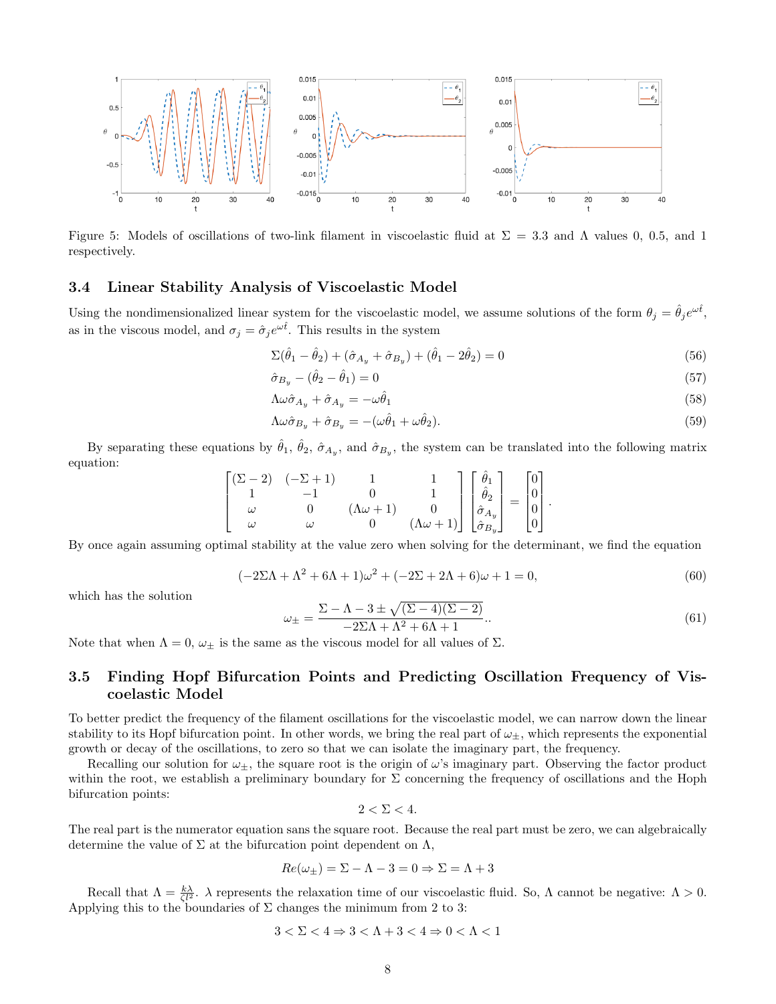

Figure 5: Models of oscillations of two-link filament in viscoelastic fluid at  $\Sigma = 3.3$  and  $\Lambda$  values 0, 0.5, and 1 respectively.

### 3.4 Linear Stability Analysis of Viscoelastic Model

Using the nondimensionalized linear system for the viscoelastic model, we assume solutions of the form  $\theta_j = \hat{\theta}_j e^{\omega \hat{t}}$ , as in the viscous model, and  $\sigma_j = \hat{\sigma}_j e^{\omega \hat{t}}$ . This results in the system

$$
\Sigma(\hat{\theta}_1 - \hat{\theta}_2) + (\hat{\sigma}_{A_y} + \hat{\sigma}_{B_y}) + (\hat{\theta}_1 - 2\hat{\theta}_2) = 0
$$
\n(56)

$$
\hat{\sigma}_{B_y} - (\hat{\theta}_2 - \hat{\theta}_1) = 0 \tag{57}
$$

$$
\Lambda \omega \hat{\sigma}_{A_y} + \hat{\sigma}_{A_y} = -\omega \hat{\theta}_1 \tag{58}
$$

$$
\Lambda \omega \hat{\sigma}_{B_y} + \hat{\sigma}_{B_y} = -(\omega \hat{\theta}_1 + \omega \hat{\theta}_2). \tag{59}
$$

By separating these equations by  $\hat{\theta}_1$ ,  $\hat{\theta}_2$ ,  $\hat{\sigma}_{A_y}$ , and  $\hat{\sigma}_{B_y}$ , the system can be translated into the following matrix equation:

$$
\begin{bmatrix}\n(\Sigma - 2) & (-\Sigma + 1) & 1 & 1 \\
1 & -1 & 0 & 1 \\
\omega & 0 & (\Lambda \omega + 1) & 0 \\
\omega & \omega & 0 & (\Lambda \omega + 1)\n\end{bmatrix}\n\begin{bmatrix}\n\hat{\theta}_1 \\
\hat{\theta}_2 \\
\hat{\sigma}_{A_y} \\
\hat{\sigma}_{B_y}\n\end{bmatrix} = \n\begin{bmatrix}\n0 \\
0 \\
0 \\
0\n\end{bmatrix}.
$$

By once again assuming optimal stability at the value zero when solving for the determinant, we find the equation

$$
(-2\Sigma\Lambda + \Lambda^2 + 6\Lambda + 1)\omega^2 + (-2\Sigma + 2\Lambda + 6)\omega + 1 = 0,
$$
\n(60)

which has the solution

$$
\omega_{\pm} = \frac{\Sigma - \Lambda - 3 \pm \sqrt{(\Sigma - 4)(\Sigma - 2)}}{-2\Sigma \Lambda + \Lambda^2 + 6\Lambda + 1}.
$$
\n(61)

Note that when  $\Lambda = 0$ ,  $\omega_{\pm}$  is the same as the viscous model for all values of  $\Sigma$ .

### 3.5 Finding Hopf Bifurcation Points and Predicting Oscillation Frequency of Viscoelastic Model

To better predict the frequency of the filament oscillations for the viscoelastic model, we can narrow down the linear stability to its Hopf bifurcation point. In other words, we bring the real part of  $\omega_{\pm}$ , which represents the exponential growth or decay of the oscillations, to zero so that we can isolate the imaginary part, the frequency.

Recalling our solution for  $\omega_{\pm}$ , the square root is the origin of  $\omega$ 's imaginary part. Observing the factor product within the root, we establish a preliminary boundary for  $\Sigma$  concerning the frequency of oscillations and the Hoph bifurcation points:

$$
2 < \Sigma < 4.
$$

The real part is the numerator equation sans the square root. Because the real part must be zero, we can algebraically determine the value of  $\Sigma$  at the bifurcation point dependent on  $\Lambda$ ,

$$
Re(\omega_{\pm}) = \Sigma - \Lambda - 3 = 0 \Rightarrow \Sigma = \Lambda + 3
$$

Recall that  $\Lambda = \frac{k\lambda}{\zeta l^2}$ .  $\lambda$  represents the relaxation time of our viscoelastic fluid. So,  $\Lambda$  cannot be negative:  $\Lambda > 0$ . Applying this to the boundaries of  $\Sigma$  changes the minimum from 2 to 3:

$$
3 < \Sigma < 4 \Rightarrow 3 < \Lambda + 3 < 4 \Rightarrow 0 < \Lambda < 1
$$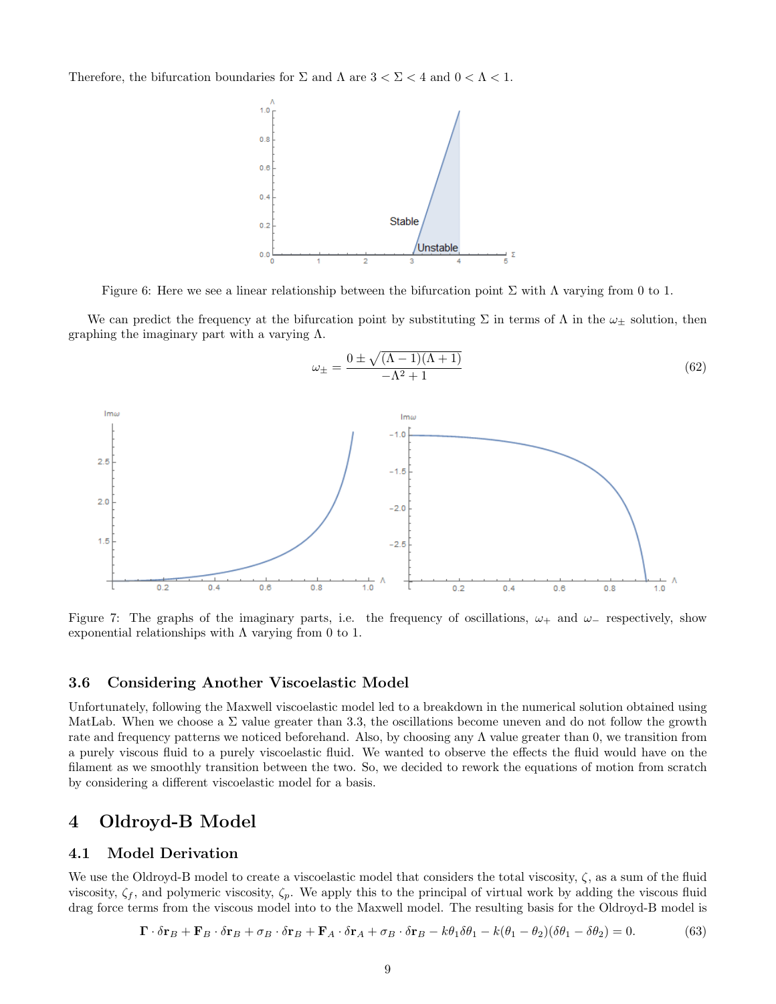Therefore, the bifurcation boundaries for  $\Sigma$  and  $\Lambda$  are  $3 < \Sigma < 4$  and  $0 < \Lambda < 1$ .



Figure 6: Here we see a linear relationship between the bifurcation point  $\Sigma$  with  $\Lambda$  varying from 0 to 1.

We can predict the frequency at the bifurcation point by substituting  $\Sigma$  in terms of  $\Lambda$  in the  $\omega_{\pm}$  solution, then graphing the imaginary part with a varying Λ.



Figure 7: The graphs of the imaginary parts, i.e. the frequency of oscillations,  $\omega_+$  and  $\omega_-$  respectively, show exponential relationships with  $\Lambda$  varying from 0 to 1.

### 3.6 Considering Another Viscoelastic Model

Unfortunately, following the Maxwell viscoelastic model led to a breakdown in the numerical solution obtained using MatLab. When we choose a  $\Sigma$  value greater than 3.3, the oscillations become uneven and do not follow the growth rate and frequency patterns we noticed beforehand. Also, by choosing any  $\Lambda$  value greater than 0, we transition from a purely viscous fluid to a purely viscoelastic fluid. We wanted to observe the effects the fluid would have on the filament as we smoothly transition between the two. So, we decided to rework the equations of motion from scratch by considering a different viscoelastic model for a basis.

# 4 Oldroyd-B Model

### 4.1 Model Derivation

We use the Oldroyd-B model to create a viscoelastic model that considers the total viscosity,  $\zeta$ , as a sum of the fluid viscosity,  $\zeta_f$ , and polymeric viscosity,  $\zeta_p$ . We apply this to the principal of virtual work by adding the viscous fluid drag force terms from the viscous model into to the Maxwell model. The resulting basis for the Oldroyd-B model is

$$
\mathbf{\Gamma} \cdot \delta \mathbf{r}_B + \mathbf{F}_B \cdot \delta \mathbf{r}_B + \sigma_B \cdot \delta \mathbf{r}_B + \mathbf{F}_A \cdot \delta \mathbf{r}_A + \sigma_B \cdot \delta \mathbf{r}_B - k\theta_1 \delta \theta_1 - k(\theta_1 - \theta_2)(\delta \theta_1 - \delta \theta_2) = 0. \tag{63}
$$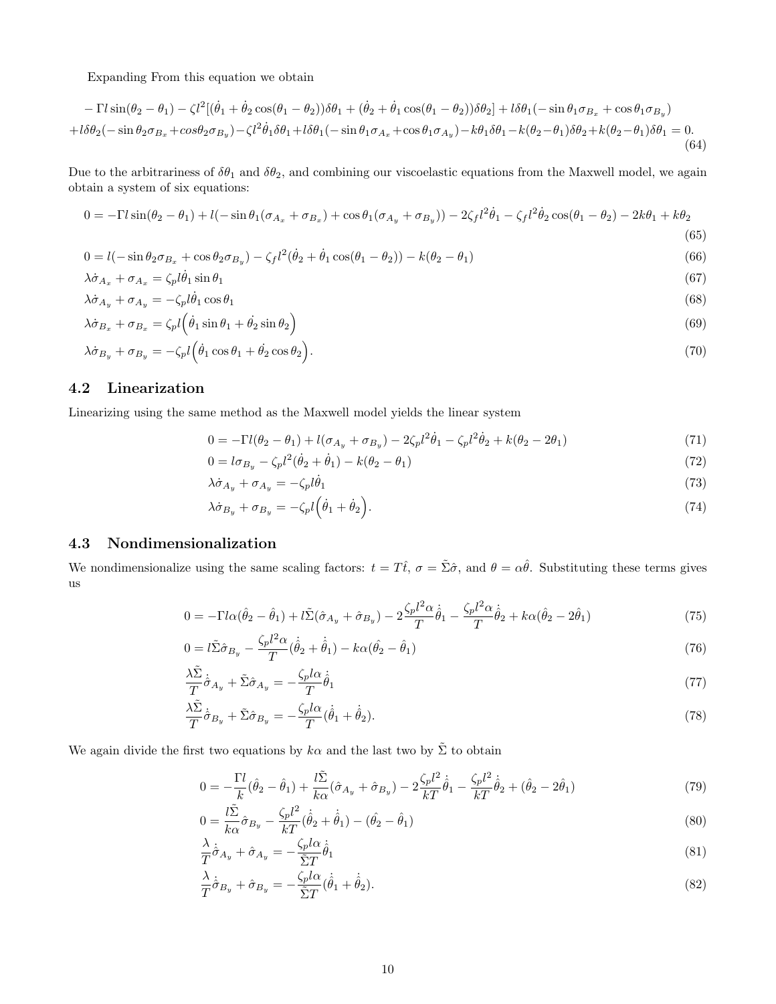Expanding From this equation we obtain

$$
- \Gamma l \sin(\theta_2 - \theta_1) - \zeta l^2 [(\dot{\theta}_1 + \dot{\theta}_2 \cos(\theta_1 - \theta_2))\delta\theta_1 + (\dot{\theta}_2 + \dot{\theta}_1 \cos(\theta_1 - \theta_2))\delta\theta_2] + l \delta\theta_1 (-\sin\theta_1 \sigma_{B_x} + \cos\theta_1 \sigma_{B_y})
$$
  
+  $l \delta\theta_2 (-\sin\theta_2 \sigma_{B_x} + \cos\theta_2 \sigma_{B_y}) - \zeta l^2 \dot{\theta}_1 \delta\theta_1 + l \delta\theta_1 (-\sin\theta_1 \sigma_{A_x} + \cos\theta_1 \sigma_{A_y}) - k \theta_1 \delta\theta_1 - k(\theta_2 - \theta_1)\delta\theta_2 + k(\theta_2 - \theta_1)\delta\theta_1 = 0.$  (64)

Due to the arbitrariness of  $\delta\theta_1$  and  $\delta\theta_2$ , and combining our viscoelastic equations from the Maxwell model, we again obtain a system of six equations:

$$
0 = -\Gamma l \sin(\theta_2 - \theta_1) + l(-\sin\theta_1(\sigma_{A_x} + \sigma_{B_x}) + \cos\theta_1(\sigma_{A_y} + \sigma_{B_y})) - 2\zeta_f l^2 \dot{\theta}_1 - \zeta_f l^2 \dot{\theta}_2 \cos(\theta_1 - \theta_2) - 2k\theta_1 + k\theta_2
$$
\n(65)

$$
0 = l(-\sin\theta_2\sigma_{B_x} + \cos\theta_2\sigma_{B_y}) - \zeta_f l^2(\dot{\theta}_2 + \dot{\theta}_1\cos(\theta_1 - \theta_2)) - k(\theta_2 - \theta_1)
$$
\n(66)

$$
\lambda \dot{\sigma}_{A_x} + \sigma_{A_x} = \zeta_p l \dot{\theta}_1 \sin \theta_1 \tag{67}
$$

$$
\lambda \dot{\sigma}_{A_y} + \sigma_{A_y} = -\zeta_p l \dot{\theta}_1 \cos \theta_1 \tag{68}
$$

$$
\lambda \dot{\sigma}_{B_x} + \sigma_{B_x} = \zeta_p l \left( \dot{\theta}_1 \sin \theta_1 + \dot{\theta}_2 \sin \theta_2 \right) \tag{69}
$$

$$
\lambda \dot{\sigma}_{B_y} + \sigma_{B_y} = -\zeta_p l \left( \dot{\theta}_1 \cos \theta_1 + \dot{\theta}_2 \cos \theta_2 \right). \tag{70}
$$

### 4.2 Linearization

Linearizing using the same method as the Maxwell model yields the linear system

$$
0 = -\Gamma l(\theta_2 - \theta_1) + l(\sigma_{A_y} + \sigma_{B_y}) - 2\zeta_p l^2 \dot{\theta}_1 - \zeta_p l^2 \dot{\theta}_2 + k(\theta_2 - 2\theta_1)
$$
\n(71)

$$
0 = l\sigma_{B_y} - \zeta_p l^2 (\dot{\theta}_2 + \dot{\theta}_1) - k(\theta_2 - \theta_1)
$$
\n(72)

$$
\lambda \dot{\sigma}_{A_y} + \sigma_{A_y} = -\zeta_p l \dot{\theta}_1 \tag{73}
$$

$$
\lambda \dot{\sigma}_{B_y} + \sigma_{B_y} = -\zeta_p l \left( \dot{\theta}_1 + \dot{\theta}_2 \right). \tag{74}
$$

### 4.3 Nondimensionalization

We nondimensionalize using the same scaling factors:  $t = T\hat{t}$ ,  $\sigma = \tilde{\Sigma}\hat{\sigma}$ , and  $\theta = \alpha\hat{\theta}$ . Substituting these terms gives us

$$
0 = -\Gamma l \alpha (\hat{\theta}_2 - \hat{\theta}_1) + l \tilde{\Sigma} (\hat{\sigma}_{A_y} + \hat{\sigma}_{B_y}) - 2 \frac{\zeta_p l^2 \alpha}{T} \hat{\theta}_1 - \frac{\zeta_p l^2 \alpha}{T} \hat{\theta}_2 + k \alpha (\hat{\theta}_2 - 2\hat{\theta}_1)
$$
\n(75)

$$
0 = l\tilde{\Sigma}\hat{\sigma}_{B_y} - \frac{\zeta_p l^2 \alpha}{T} (\dot{\hat{\theta}}_2 + \dot{\hat{\theta}}_1) - k\alpha (\hat{\theta}_2 - \hat{\theta}_1)
$$
\n(76)

$$
\frac{\lambda \tilde{\Sigma}}{T} \dot{\tilde{\sigma}}_{A_y} + \tilde{\Sigma} \hat{\sigma}_{A_y} = -\frac{\zeta_p l \alpha}{T} \dot{\tilde{\theta}}_1 \tag{77}
$$

$$
\frac{\lambda \tilde{\Sigma}}{T} \dot{\tilde{\sigma}}_{B_y} + \tilde{\Sigma} \hat{\sigma}_{B_y} = -\frac{\zeta_p l \alpha}{T} (\dot{\hat{\theta}}_1 + \dot{\hat{\theta}}_2). \tag{78}
$$

We again divide the first two equations by  $k\alpha$  and the last two by  $\tilde{\Sigma}$  to obtain

$$
0 = -\frac{\Gamma l}{k}(\hat{\theta}_2 - \hat{\theta}_1) + \frac{l\tilde{\Sigma}}{k\alpha}(\hat{\sigma}_{A_y} + \hat{\sigma}_{B_y}) - 2\frac{\zeta_p l^2}{kT}\hat{\theta}_1 - \frac{\zeta_p l^2}{kT}\hat{\theta}_2 + (\hat{\theta}_2 - 2\hat{\theta}_1)
$$
\n(79)

$$
0 = \frac{l\tilde{\Sigma}}{k\alpha}\hat{\sigma}_{B_y} - \frac{\zeta_p l^2}{kT}(\dot{\hat{\theta}}_2 + \dot{\hat{\theta}}_1) - (\hat{\theta}_2 - \hat{\theta}_1)
$$
\n(80)

$$
\frac{\lambda}{T}\dot{\hat{\sigma}}_{A_y} + \hat{\sigma}_{A_y} = -\frac{\zeta_p l \alpha}{\tilde{\Sigma}T} \dot{\hat{\theta}}_1 \tag{81}
$$

$$
\frac{\lambda}{T}\dot{\hat{\sigma}}_{B_y} + \hat{\sigma}_{B_y} = -\frac{\zeta_p l \alpha}{\tilde{\Sigma}T} (\dot{\hat{\theta}}_1 + \dot{\hat{\theta}}_2).
$$
\n(82)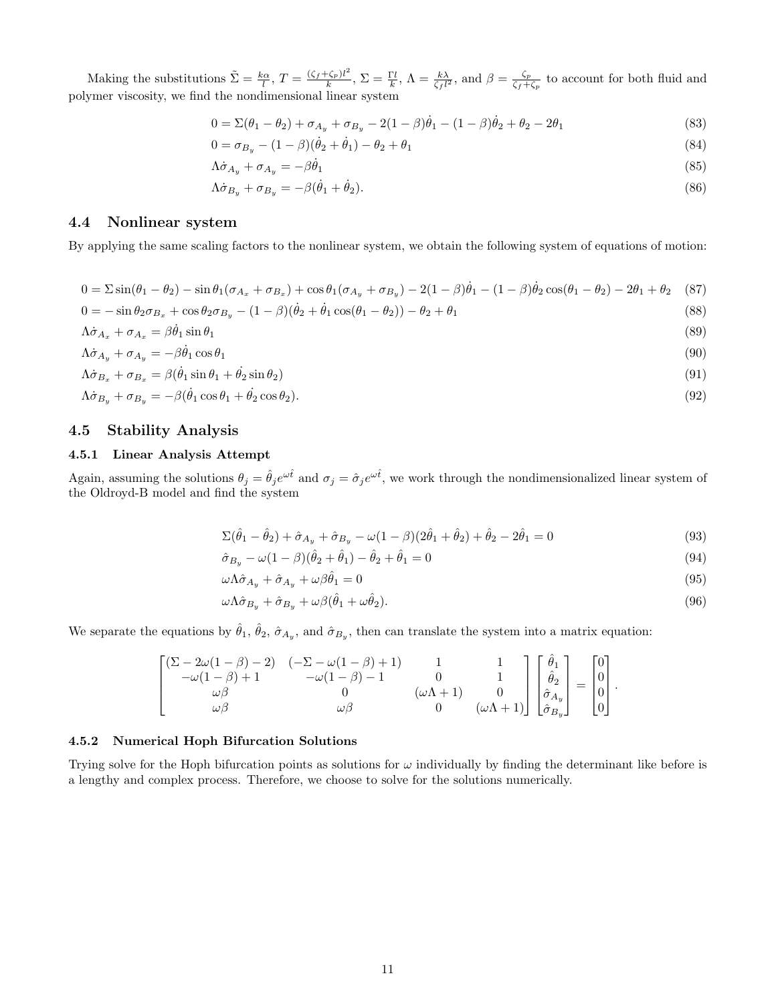Making the substitutions  $\tilde{\Sigma} = \frac{k\alpha}{l}, T = \frac{(\zeta_f + \zeta_p)l^2}{k}$  $(\frac{\zeta_p}{k})^{l^2}, \, \Sigma = \frac{\Gamma l}{k}, \, \Lambda = \frac{k\lambda}{\zeta_f l^2}, \, \text{and } \beta = \frac{\zeta_p}{\zeta_f + 1}$  $\frac{\zeta_p}{\zeta_f+\zeta_p}$  to account for both fluid and polymer viscosity, we find the nondimensional linear system

$$
0 = \Sigma(\theta_1 - \theta_2) + \sigma_{A_y} + \sigma_{B_y} - 2(1 - \beta)\dot{\theta}_1 - (1 - \beta)\dot{\theta}_2 + \theta_2 - 2\theta_1
$$
\n(83)

$$
0 = \sigma_{B_y} - (1 - \beta)(\dot{\theta}_2 + \dot{\theta}_1) - \theta_2 + \theta_1 \tag{84}
$$

$$
\Lambda \dot{\sigma}_{A_y} + \sigma_{A_y} = -\beta \dot{\theta}_1 \tag{85}
$$

$$
\Lambda \dot{\sigma}_{B_y} + \sigma_{B_y} = -\beta (\dot{\theta}_1 + \dot{\theta}_2). \tag{86}
$$

### 4.4 Nonlinear system

By applying the same scaling factors to the nonlinear system, we obtain the following system of equations of motion:

$$
0 = \sum \sin(\theta_1 - \theta_2) - \sin\theta_1(\sigma_{A_x} + \sigma_{B_x}) + \cos\theta_1(\sigma_{A_y} + \sigma_{B_y}) - 2(1 - \beta)\dot{\theta}_1 - (1 - \beta)\dot{\theta}_2\cos(\theta_1 - \theta_2) - 2\theta_1 + \theta_2 \tag{87}
$$

 $0 = -\sin\theta_2\sigma_{B_x} + \cos\theta_2\sigma_{B_y} - (1 - \beta)(\theta_2 + \theta_1\cos(\theta_1 - \theta_2)) - \theta_2 + \theta_1$  (88)

$$
\Lambda \dot{\sigma}_{A_x} + \sigma_{A_x} = \beta \dot{\theta}_1 \sin \theta_1 \tag{89}
$$

$$
\Lambda \dot{\sigma}_{A_y} + \sigma_{A_y} = -\beta \dot{\theta}_1 \cos \theta_1 \tag{90}
$$

$$
\Lambda \dot{\sigma}_{B_x} + \sigma_{B_x} = \beta (\dot{\theta}_1 \sin \theta_1 + \dot{\theta}_2 \sin \theta_2)
$$
\n(91)

$$
\Lambda \dot{\sigma}_{B_y} + \sigma_{B_y} = -\beta (\dot{\theta}_1 \cos \theta_1 + \dot{\theta}_2 \cos \theta_2). \tag{92}
$$

#### 4.5 Stability Analysis

#### 4.5.1 Linear Analysis Attempt

Again, assuming the solutions  $\theta_j = \hat{\theta}_j e^{\omega t}$  and  $\sigma_j = \hat{\sigma}_j e^{\omega t}$ , we work through the nondimensionalized linear system of the Oldroyd-B model and find the system

$$
\Sigma(\hat{\theta}_1 - \hat{\theta}_2) + \hat{\sigma}_{A_y} + \hat{\sigma}_{B_y} - \omega(1 - \beta)(2\hat{\theta}_1 + \hat{\theta}_2) + \hat{\theta}_2 - 2\hat{\theta}_1 = 0
$$
\n(93)

$$
\hat{\sigma}_{B_y} - \omega (1 - \beta)(\hat{\theta}_2 + \hat{\theta}_1) - \hat{\theta}_2 + \hat{\theta}_1 = 0
$$
\n(94)

$$
\omega \Lambda \hat{\sigma}_{A_y} + \hat{\sigma}_{A_y} + \omega \beta \hat{\theta}_1 = 0 \tag{95}
$$

$$
\omega \Lambda \hat{\sigma}_{B_y} + \hat{\sigma}_{B_y} + \omega \beta (\hat{\theta}_1 + \omega \hat{\theta}_2). \tag{96}
$$

We separate the equations by  $\hat{\theta}_1$ ,  $\hat{\theta}_2$ ,  $\hat{\sigma}_{A_y}$ , and  $\hat{\sigma}_{B_y}$ , then can translate the system into a matrix equation:

$$
\begin{bmatrix} (\Sigma-2\omega(1-\beta)-2) & (-\Sigma-\omega(1-\beta)+1) & 1 & 1 \\ -\omega(1-\beta)+1 & -\omega(1-\beta)-1 & 0 & 1 \\ \omega\beta & 0 & (\omega\Lambda+1) & 0 \\ \omega\beta & \omega\beta & 0 & (\omega\Lambda+1) \end{bmatrix} \begin{bmatrix} \hat{\theta}_1 \\ \hat{\theta}_2 \\ \hat{\sigma}_{A_y} \\ \hat{\sigma}_{B_y} \end{bmatrix} = \begin{bmatrix} 0 \\ 0 \\ 0 \\ 0 \end{bmatrix}.
$$

#### 4.5.2 Numerical Hoph Bifurcation Solutions

Trying solve for the Hoph bifurcation points as solutions for  $\omega$  individually by finding the determinant like before is a lengthy and complex process. Therefore, we choose to solve for the solutions numerically.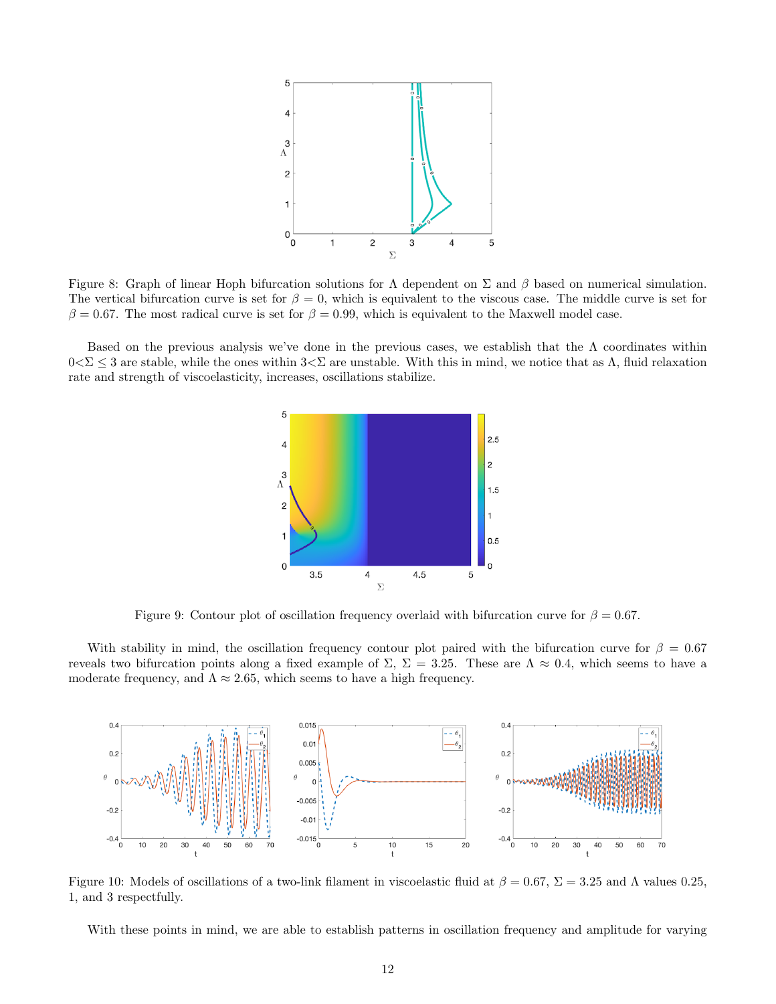

Figure 8: Graph of linear Hoph bifurcation solutions for  $\Lambda$  dependent on  $\Sigma$  and  $\beta$  based on numerical simulation. The vertical bifurcation curve is set for  $\beta = 0$ , which is equivalent to the viscous case. The middle curve is set for  $\beta = 0.67$ . The most radical curve is set for  $\beta = 0.99$ , which is equivalent to the Maxwell model case.

Based on the previous analysis we've done in the previous cases, we establish that the  $\Lambda$  coordinates within  $0<\Sigma\leq 3$  are stable, while the ones within  $3<\Sigma$  are unstable. With this in mind, we notice that as  $\Lambda$ , fluid relaxation rate and strength of viscoelasticity, increases, oscillations stabilize.



Figure 9: Contour plot of oscillation frequency overlaid with bifurcation curve for  $\beta = 0.67$ .

With stability in mind, the oscillation frequency contour plot paired with the bifurcation curve for  $\beta = 0.67$ reveals two bifurcation points along a fixed example of  $\Sigma$ ,  $\Sigma = 3.25$ . These are  $\Lambda \approx 0.4$ , which seems to have a moderate frequency, and  $\Lambda \approx 2.65$ , which seems to have a high frequency.



Figure 10: Models of oscillations of a two-link filament in viscoelastic fluid at  $\beta = 0.67$ ,  $\Sigma = 3.25$  and  $\Lambda$  values 0.25, 1, and 3 respectfully.

With these points in mind, we are able to establish patterns in oscillation frequency and amplitude for varying